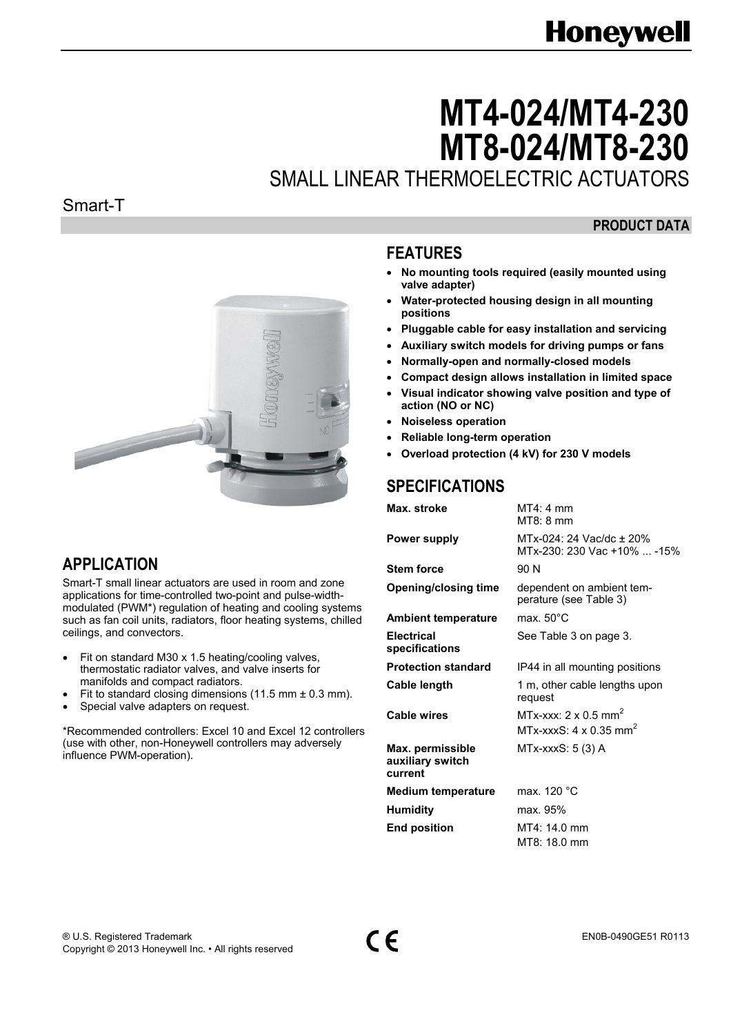# **Honeywell**

# **MT4-024/MT4-230 MT8-024/MT8-230**

SMALL LINEAR THERMOELECTRIC ACTUATORS

#### Smart-T

#### **PRODUCT DATA**



# **APPLICATION**

Smart-T small linear actuators are used in room and zone applications for time-controlled two-point and pulse-widthmodulated (PWM\*) regulation of heating and cooling systems such as fan coil units, radiators, floor heating systems, chilled ceilings, and convectors.

- Fit on standard M30 x 1.5 heating/cooling valves, thermostatic radiator valves, and valve inserts for manifolds and compact radiators.
- Fit to standard closing dimensions (11.5 mm  $\pm$  0.3 mm).
- Special valve adapters on request.

\*Recommended controllers: Excel 10 and Excel 12 controllers (use with other, non-Honeywell controllers may adversely influence PWM-operation).

## **FEATURES**

- **No mounting tools required (easily mounted using valve adapter)**
- **Water-protected housing design in all mounting positions**
- **Pluggable cable for easy installation and servicing**
- **Auxiliary switch models for driving pumps or fans**
- **Normally-open and normally-closed models**
- **Compact design allows installation in limited space**
- **Visual indicator showing valve position and type of action (NO or NC)**
- **Noiseless operation**
- **Reliable long-term operation**
- **Overload protection (4 kV) for 230 V models**

# **SPECIFICATIONS**

| Max. stroke                                     | $MT4:4$ mm<br>$MT8:8$ mm                                                             |  |  |
|-------------------------------------------------|--------------------------------------------------------------------------------------|--|--|
| Power supply                                    | MTx-024: 24 Vac/dc ± 20%<br>MTx-230: 230 Vac +10%  -15%                              |  |  |
| <b>Stem force</b>                               | 90 N                                                                                 |  |  |
| <b>Opening/closing time</b>                     | dependent on ambient tem-<br>perature (see Table 3)                                  |  |  |
| <b>Ambient temperature</b>                      | max. $50^{\circ}$ C                                                                  |  |  |
| <b>Electrical</b><br>specifications             | See Table 3 on page 3.                                                               |  |  |
| <b>Protection standard</b>                      | IP44 in all mounting positions                                                       |  |  |
| Cable length                                    | 1 m, other cable lengths upon<br>request                                             |  |  |
| Cable wires                                     | MTx-xxx: $2 \times 0.5$ mm <sup>2</sup><br>MTx-xxxS: $4 \times 0.35$ mm <sup>2</sup> |  |  |
| Max. permissible<br>auxiliary switch<br>current | MTx-xxxS: 5 (3) A                                                                    |  |  |
| <b>Medium temperature</b>                       | max. 120 °C                                                                          |  |  |
| <b>Humidity</b>                                 | max. 95%                                                                             |  |  |
| <b>End position</b>                             | MT4: 14.0 mm                                                                         |  |  |
|                                                 | MT8: 18.0 mm                                                                         |  |  |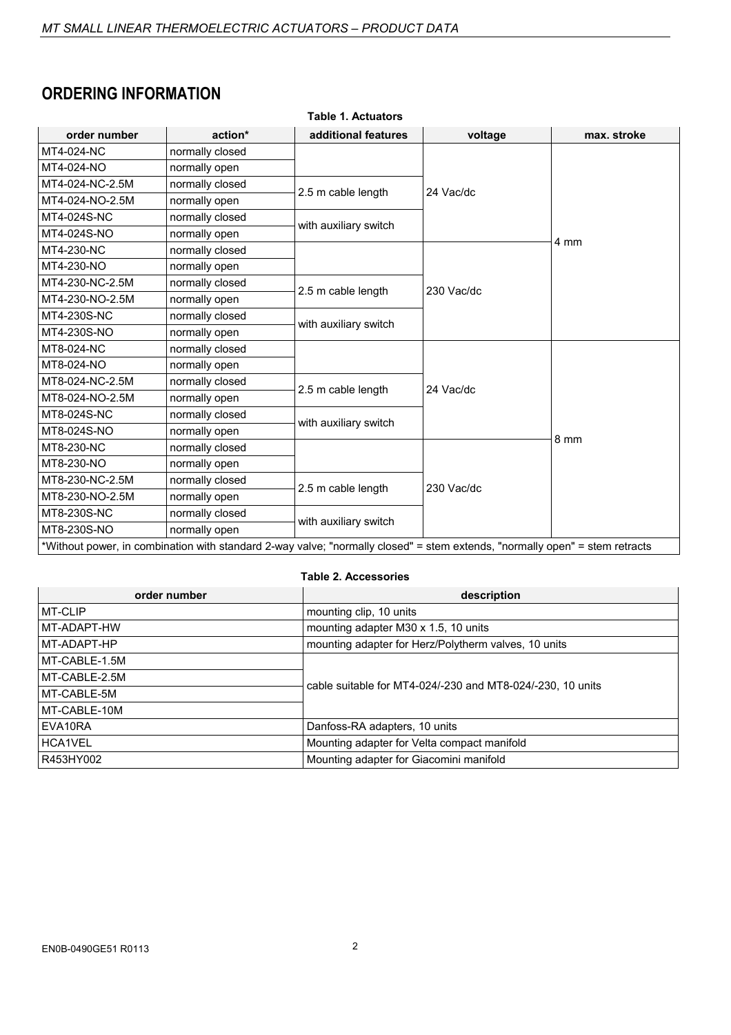# **ORDERING INFORMATION**

| <b>Table 1. Actuators</b>                                                                                                   |                 |                       |            |             |  |  |  |  |
|-----------------------------------------------------------------------------------------------------------------------------|-----------------|-----------------------|------------|-------------|--|--|--|--|
| order number                                                                                                                | action*         | additional features   | voltage    | max. stroke |  |  |  |  |
| MT4-024-NC                                                                                                                  | normally closed |                       |            |             |  |  |  |  |
| MT4-024-NO                                                                                                                  | normally open   |                       |            |             |  |  |  |  |
| MT4-024-NC-2.5M                                                                                                             | normally closed | 2.5 m cable length    | 24 Vac/dc  |             |  |  |  |  |
| MT4-024-NO-2.5M                                                                                                             | normally open   |                       |            |             |  |  |  |  |
| MT4-024S-NC                                                                                                                 | normally closed | with auxiliary switch |            |             |  |  |  |  |
| MT4-024S-NO                                                                                                                 | normally open   |                       |            | 4 mm        |  |  |  |  |
| MT4-230-NC                                                                                                                  | normally closed |                       |            |             |  |  |  |  |
| MT4-230-NO                                                                                                                  | normally open   |                       |            |             |  |  |  |  |
| MT4-230-NC-2.5M                                                                                                             | normally closed | 2.5 m cable length    | 230 Vac/dc |             |  |  |  |  |
| MT4-230-NO-2.5M                                                                                                             | normally open   |                       |            |             |  |  |  |  |
| MT4-230S-NC                                                                                                                 | normally closed | with auxiliary switch |            |             |  |  |  |  |
| MT4-230S-NO                                                                                                                 | normally open   |                       |            |             |  |  |  |  |
| MT8-024-NC                                                                                                                  | normally closed |                       |            |             |  |  |  |  |
| MT8-024-NO                                                                                                                  | normally open   |                       |            |             |  |  |  |  |
| MT8-024-NC-2.5M                                                                                                             | normally closed | 2.5 m cable length    | 24 Vac/dc  |             |  |  |  |  |
| MT8-024-NO-2.5M                                                                                                             | normally open   |                       |            |             |  |  |  |  |
| MT8-024S-NC                                                                                                                 | normally closed | with auxiliary switch |            |             |  |  |  |  |
| MT8-024S-NO                                                                                                                 | normally open   |                       |            | 8 mm        |  |  |  |  |
| MT8-230-NC                                                                                                                  | normally closed |                       |            |             |  |  |  |  |
| MT8-230-NO                                                                                                                  | normally open   |                       |            |             |  |  |  |  |
| MT8-230-NC-2.5M                                                                                                             | normally closed | 2.5 m cable length    | 230 Vac/dc |             |  |  |  |  |
| MT8-230-NO-2.5M                                                                                                             | normally open   |                       |            |             |  |  |  |  |
| MT8-230S-NC                                                                                                                 | normally closed |                       |            |             |  |  |  |  |
| MT8-230S-NO                                                                                                                 | normally open   | with auxiliary switch |            |             |  |  |  |  |
| *Without power, in combination with standard 2-way valve; "normally closed" = stem extends, "normally open" = stem retracts |                 |                       |            |             |  |  |  |  |

#### **Table 2. Accessories**

| order number  | description                                                |  |  |
|---------------|------------------------------------------------------------|--|--|
| MT-CLIP       | mounting clip, 10 units                                    |  |  |
| I MT-ADAPT-HW | mounting adapter M30 x 1.5, 10 units                       |  |  |
| MT-ADAPT-HP   | mounting adapter for Herz/Polytherm valves, 10 units       |  |  |
| MT-CABLE-1.5M |                                                            |  |  |
| MT-CABLE-2.5M | cable suitable for MT4-024/-230 and MT8-024/-230, 10 units |  |  |
| MT-CABLE-5M   |                                                            |  |  |
| MT-CABLE-10M  |                                                            |  |  |
| EVA10RA       | Danfoss-RA adapters, 10 units                              |  |  |
| HCA1VEL       | Mounting adapter for Velta compact manifold                |  |  |
| R453HY002     | Mounting adapter for Giacomini manifold                    |  |  |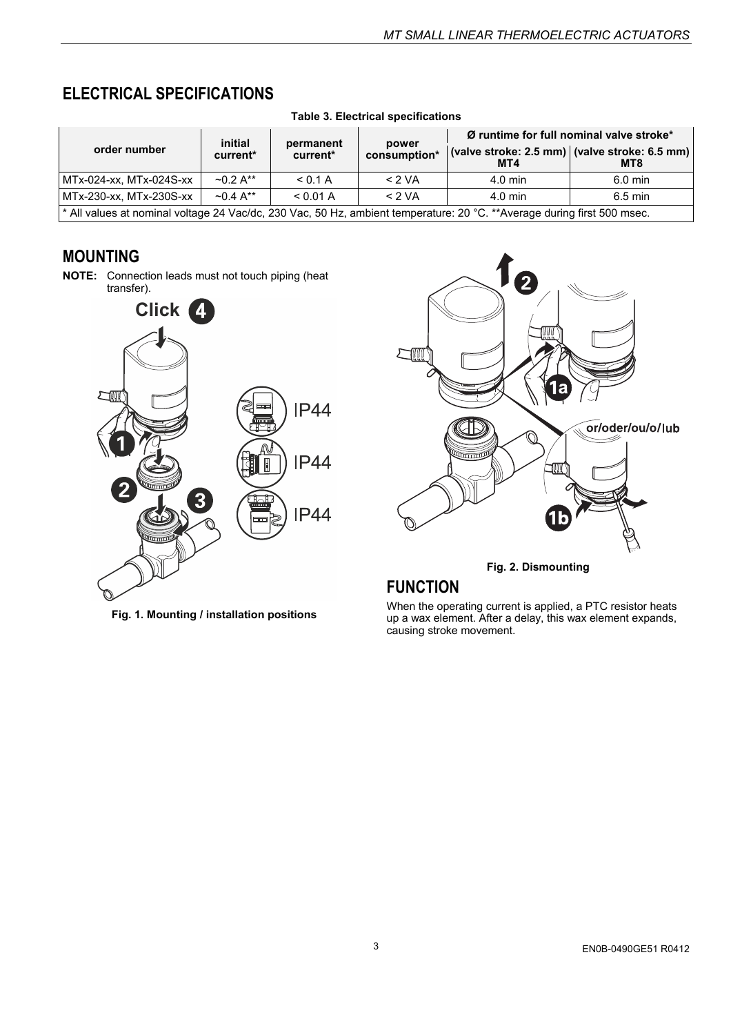# **ELECTRICAL SPECIFICATIONS**

| order number                                                                                                            | initial<br>current*       | permanent<br>current* | power<br>consumption* | MT4               | Ø runtime for full nominal valve stroke*<br>(valve stroke: 2.5 mm) $ $ (valve stroke: 6.5 mm) $ $<br>MT8 |  |  |  |
|-------------------------------------------------------------------------------------------------------------------------|---------------------------|-----------------------|-----------------------|-------------------|----------------------------------------------------------------------------------------------------------|--|--|--|
| MTx-024-xx, MTx-024S-xx                                                                                                 | $\sim 0.2 \text{ A}^{**}$ | < 0.1 A               | < 2 VA                | $4.0$ min         | $6.0 \text{ min}$                                                                                        |  |  |  |
| MTx-230-xx, MTx-230S-xx                                                                                                 | $\sim 0.4 \text{ A}^{**}$ | < 0.01 A              | < 2 VA                | $4.0 \text{ min}$ | $6.5$ min                                                                                                |  |  |  |
| * All values at nominal voltage 24 Vac/dc, 230 Vac, 50 Hz, ambient temperature: 20 °C. **Average during first 500 msec. |                           |                       |                       |                   |                                                                                                          |  |  |  |

**Table 3. Electrical specifications** 

### **MOUNTING**

**NOTE:** Connection leads must not touch piping (heat transfer).



**Fig. 1. Mounting / installation positions** 



**Fig. 2. Dismounting** 

# **FUNCTION**

When the operating current is applied, a PTC resistor heats up a wax element. After a delay, this wax element expands, causing stroke movement.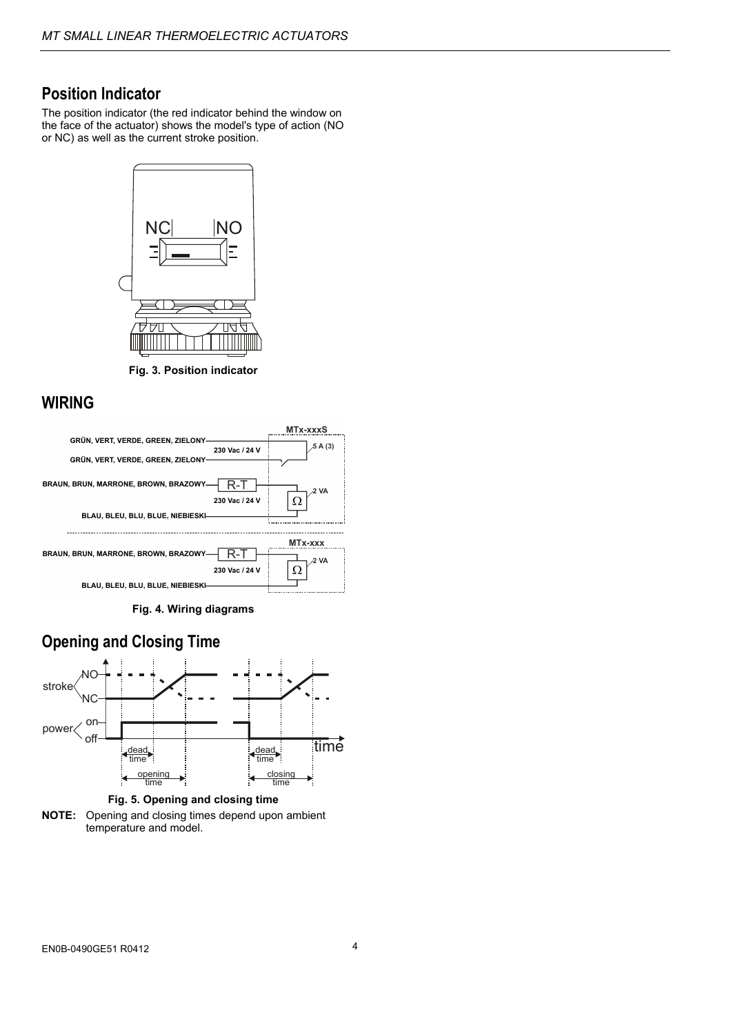#### **Position Indicator**

The position indicator (the red indicator behind the window on the face of the actuator) shows the model's type of action (NO or NC) as well as the current stroke position.



**Fig. 3. Position indicator** 

#### **WIRING**



**Fig. 4. Wiring diagrams** 



**Fig. 5. Opening and closing time** 

**NOTE:** Opening and closing times depend upon ambient temperature and model.